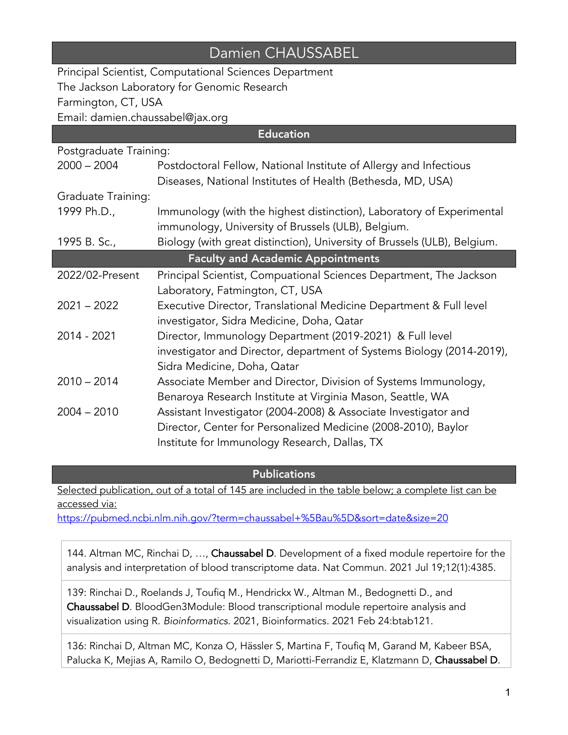## Damien CHAUSSABEL

Principal Scientist, Computational Sciences Department The Jackson Laboratory for Genomic Research Farmington, CT, USA Email: damien.chaussabel@jax.org

| <b>Education</b>                         |                                                                          |
|------------------------------------------|--------------------------------------------------------------------------|
| Postgraduate Training:                   |                                                                          |
| $2000 - 2004$                            | Postdoctoral Fellow, National Institute of Allergy and Infectious        |
|                                          | Diseases, National Institutes of Health (Bethesda, MD, USA)              |
| Graduate Training:                       |                                                                          |
| 1999 Ph.D.,                              | Immunology (with the highest distinction), Laboratory of Experimental    |
|                                          | immunology, University of Brussels (ULB), Belgium.                       |
| 1995 B. Sc.,                             | Biology (with great distinction), University of Brussels (ULB), Belgium. |
| <b>Faculty and Academic Appointments</b> |                                                                          |
| 2022/02-Present                          | Principal Scientist, Compuational Sciences Department, The Jackson       |
|                                          | Laboratory, Fatmington, CT, USA                                          |
| $2021 - 2022$                            | Executive Director, Translational Medicine Department & Full level       |
|                                          | investigator, Sidra Medicine, Doha, Qatar                                |
| 2014 - 2021                              | Director, Immunology Department (2019-2021) & Full level                 |
|                                          | investigator and Director, department of Systems Biology (2014-2019),    |
|                                          | Sidra Medicine, Doha, Qatar                                              |
| $2010 - 2014$                            | Associate Member and Director, Division of Systems Immunology,           |
|                                          | Benaroya Research Institute at Virginia Mason, Seattle, WA               |
| $2004 - 2010$                            | Assistant Investigator (2004-2008) & Associate Investigator and          |
|                                          | Director, Center for Personalized Medicine (2008-2010), Baylor           |
|                                          | Institute for Immunology Research, Dallas, TX                            |

**Publications** 

Selected publication, out of a total of 145 are included in the table below; a complete list can be accessed via:

https://pubmed.ncbi.nlm.nih.gov/?term=chaussabel+%5Bau%5D&sort=date&size=20

144. Altman MC, Rinchai D, ..., Chaussabel D. Development of a fixed module repertoire for the analysis and interpretation of blood transcriptome data. Nat Commun. 2021 Jul 19;12(1):4385.

139: Rinchai D., Roelands J, Toufiq M., Hendrickx W., Altman M., Bedognetti D., and Chaussabel D. BloodGen3Module: Blood transcriptional module repertoire analysis and visualization using R. *Bioinformatics.* 2021, Bioinformatics. 2021 Feb 24:btab121.

136: Rinchai D, Altman MC, Konza O, Hässler S, Martina F, Toufiq M, Garand M, Kabeer BSA, Palucka K, Mejias A, Ramilo O, Bedognetti D, Mariotti-Ferrandiz E, Klatzmann D, Chaussabel D.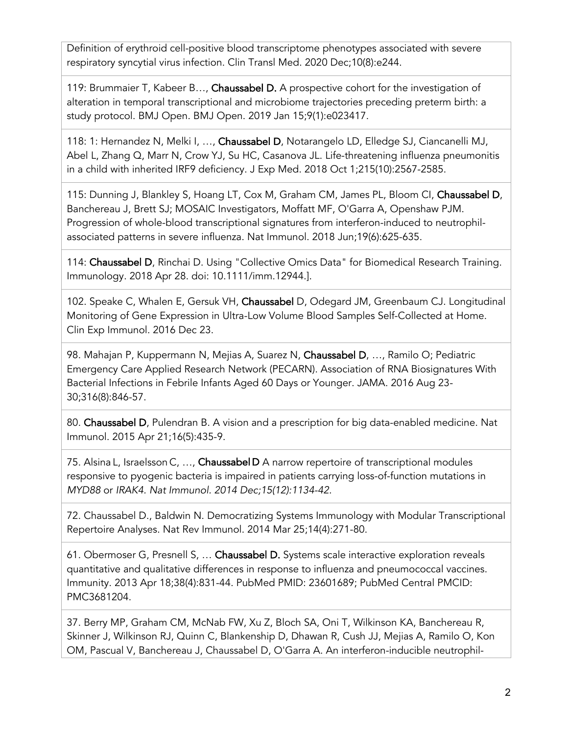Definition of erythroid cell-positive blood transcriptome phenotypes associated with severe respiratory syncytial virus infection. Clin Transl Med. 2020 Dec;10(8):e244.

119: Brummaier T, Kabeer B…, Chaussabel D. A prospective cohort for the investigation of alteration in temporal transcriptional and microbiome trajectories preceding preterm birth: a study protocol. BMJ Open. BMJ Open. 2019 Jan 15;9(1):e023417.

118: 1: Hernandez N, Melki I, …, Chaussabel D, Notarangelo LD, Elledge SJ, Ciancanelli MJ, Abel L, Zhang Q, Marr N, Crow YJ, Su HC, Casanova JL. Life-threatening influenza pneumonitis in a child with inherited IRF9 deficiency. J Exp Med. 2018 Oct 1;215(10):2567-2585.

115: Dunning J, Blankley S, Hoang LT, Cox M, Graham CM, James PL, Bloom CI, Chaussabel D, Banchereau J, Brett SJ; MOSAIC Investigators, Moffatt MF, O'Garra A, Openshaw PJM. Progression of whole-blood transcriptional signatures from interferon-induced to neutrophilassociated patterns in severe influenza. Nat Immunol. 2018 Jun;19(6):625-635.

114: Chaussabel D, Rinchai D. Using "Collective Omics Data" for Biomedical Research Training. Immunology. 2018 Apr 28. doi: 10.1111/imm.12944.].

102. Speake C, Whalen E, Gersuk VH, Chaussabel D, Odegard JM, Greenbaum CJ. Longitudinal Monitoring of Gene Expression in Ultra-Low Volume Blood Samples Self-Collected at Home. Clin Exp Immunol. 2016 Dec 23.

98. Mahajan P, Kuppermann N, Mejias A, Suarez N, Chaussabel D, …, Ramilo O; Pediatric Emergency Care Applied Research Network (PECARN). Association of RNA Biosignatures With Bacterial Infections in Febrile Infants Aged 60 Days or Younger. JAMA. 2016 Aug 23- 30;316(8):846-57.

80. Chaussabel D, Pulendran B. A vision and a prescription for big data-enabled medicine. Nat Immunol. 2015 Apr 21;16(5):435-9.

75. Alsina L, Israelsson C, ..., Chaussabel D A narrow repertoire of transcriptional modules responsive to pyogenic bacteria is impaired in patients carrying loss-of-function mutations in *MYD88* or *IRAK4. Nat Immunol. 2014 Dec;15(12):1134-42.*

72. Chaussabel D., Baldwin N. Democratizing Systems Immunology with Modular Transcriptional Repertoire Analyses. Nat Rev Immunol. 2014 Mar 25;14(4):271-80.

61. Obermoser G, Presnell S, … Chaussabel D. Systems scale interactive exploration reveals quantitative and qualitative differences in response to influenza and pneumococcal vaccines. Immunity. 2013 Apr 18;38(4):831-44. PubMed PMID: 23601689; PubMed Central PMCID: PMC3681204.

37. Berry MP, Graham CM, McNab FW, Xu Z, Bloch SA, Oni T, Wilkinson KA, Banchereau R, Skinner J, Wilkinson RJ, Quinn C, Blankenship D, Dhawan R, Cush JJ, Mejias A, Ramilo O, Kon OM, Pascual V, Banchereau J, Chaussabel D, O'Garra A. An interferon-inducible neutrophil